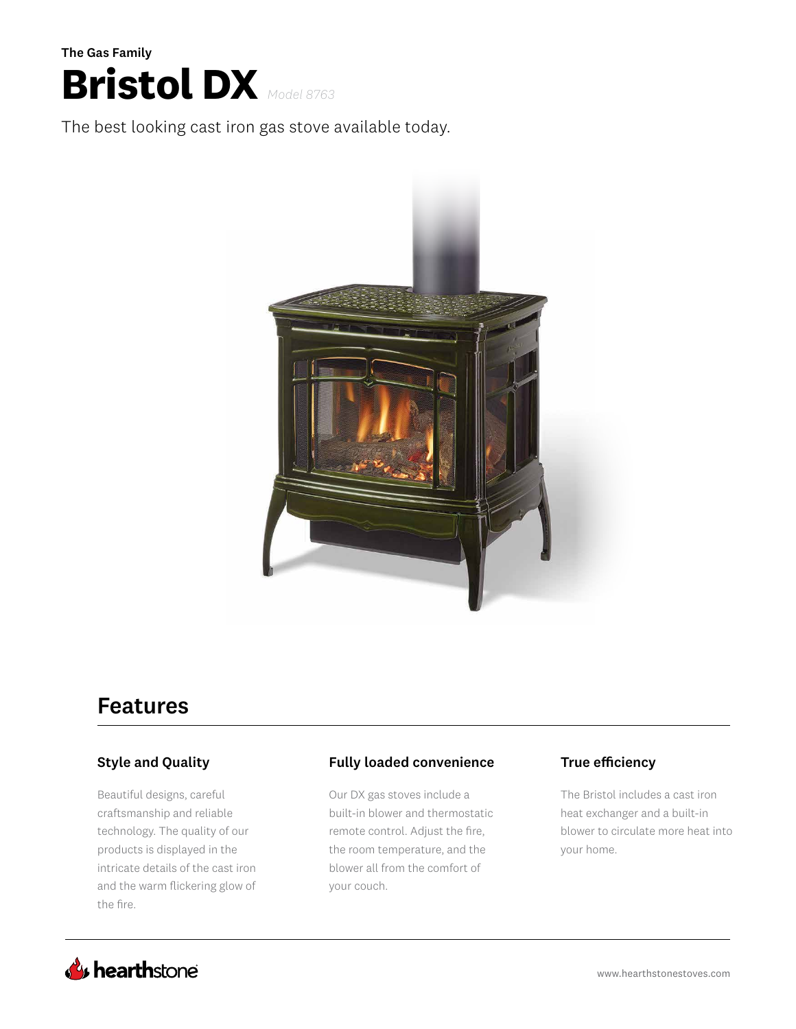

The best looking cast iron gas stove available today.



# Features

### Style and Quality

Beautiful designs, careful craftsmanship and reliable technology. The quality of our products is displayed in the intricate details of the cast iron and the warm flickering glow of the fire.

### Fully loaded convenience True efficiency

Our DX gas stoves include a built-in blower and thermostatic remote control. Adjust the fire, the room temperature, and the blower all from the comfort of your couch.

The Bristol includes a cast iron heat exchanger and a built-in blower to circulate more heat into your home.